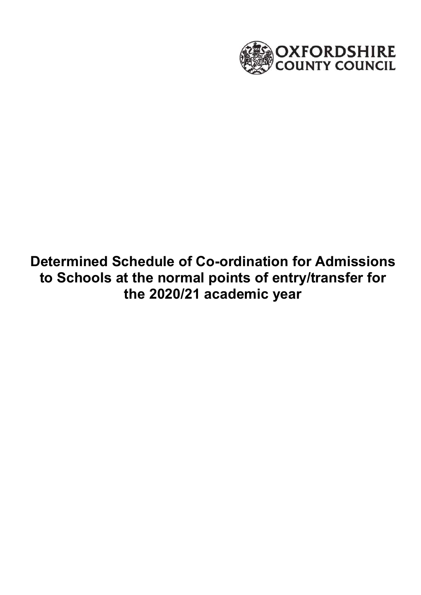

# **Determined Schedule of Co-ordination for Admissions to Schools at the normal points of entry/transfer for the 2020/21 academic year**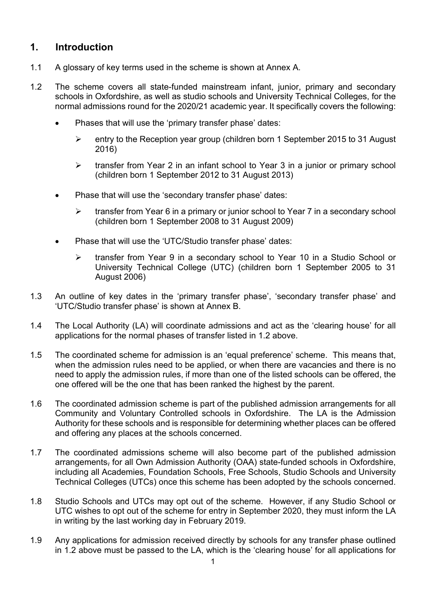### **1. Introduction**

- 1.1 A glossary of key terms used in the scheme is shown at Annex A.
- 1.2 The scheme covers all state-funded mainstream infant, junior, primary and secondary schools in Oxfordshire, as well as studio schools and University Technical Colleges, for the normal admissions round for the 2020/21 academic year. It specifically covers the following:
	- Phases that will use the 'primary transfer phase' dates:
		- entry to the Reception year group (children born 1 September 2015 to 31 August 2016)
		- $\triangleright$  transfer from Year 2 in an infant school to Year 3 in a junior or primary school (children born 1 September 2012 to 31 August 2013)
	- Phase that will use the 'secondary transfer phase' dates:
		- $\triangleright$  transfer from Year 6 in a primary or junior school to Year 7 in a secondary school (children born 1 September 2008 to 31 August 2009)
	- Phase that will use the 'UTC/Studio transfer phase' dates:
		- $\triangleright$  transfer from Year 9 in a secondary school to Year 10 in a Studio School or University Technical College (UTC) (children born 1 September 2005 to 31 August 2006)
- 1.3 An outline of key dates in the 'primary transfer phase', 'secondary transfer phase' and 'UTC/Studio transfer phase' is shown at Annex B.
- 1.4 The Local Authority (LA) will coordinate admissions and act as the 'clearing house' for all applications for the normal phases of transfer listed in 1.2 above.
- 1.5 The coordinated scheme for admission is an 'equal preference' scheme. This means that, when the admission rules need to be applied, or when there are vacancies and there is no need to apply the admission rules, if more than one of the listed schools can be offered, the one offered will be the one that has been ranked the highest by the parent.
- Community and Voluntary Controlled schools in Oxfordshire. The LA is the Admission 1.6 The coordinated admission scheme is part of the published admission arrangements for all Authority for these schools and is responsible for determining whether places can be offered and offering any places at the schools concerned.
- 1.7 The coordinated admissions scheme will also become part of the published admission arrangements, for all Own Admission Authority (OAA) state-funded schools in Oxfordshire, including all Academies, Foundation Schools, Free Schools, Studio Schools and University Technical Colleges (UTCs) once this scheme has been adopted by the schools concerned.
- 1.8 Studio Schools and UTCs may opt out of the scheme. However, if any Studio School or UTC wishes to opt out of the scheme for entry in September 2020, they must inform the LA in writing by the last working day in February 2019.
- 1.9 Any applications for admission received directly by schools for any transfer phase outlined in 1.2 above must be passed to the LA, which is the 'clearing house' for all applications for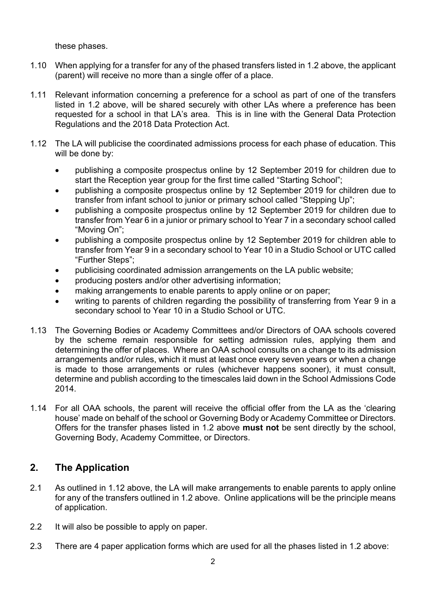these phases.

- 1.10 When applying for a transfer for any of the phased transfers listed in 1.2 above, the applicant (parent) will receive no more than a single offer of a place.
- 1.11 Relevant information concerning a preference for a school as part of one of the transfers listed in 1.2 above, will be shared securely with other LAs where a preference has been requested for a school in that LA's area. This is in line with the General Data Protection Regulations and the 2018 Data Protection Act.
- 1.12 The LA will publicise the coordinated admissions process for each phase of education. This will be done by:
	- publishing a composite prospectus online by 12 September 2019 for children due to start the Reception year group for the first time called "Starting School";
	- publishing a composite prospectus online by 12 September 2019 for children due to transfer from infant school to junior or primary school called "Stepping Up";
	- transfer from Year 6 in a junior or primary school to Year 7 in a secondary school called publishing a composite prospectus online by 12 September 2019 for children due to "Moving On";
	- publishing a composite prospectus online by 12 September 2019 for children able to transfer from Year 9 in a secondary school to Year 10 in a Studio School or UTC called "Further Steps";
	- publicising coordinated admission arrangements on the LA public website;
	- producing posters and/or other advertising information;
	- making arrangements to enable parents to apply online or on paper;
	- writing to parents of children regarding the possibility of transferring from Year 9 in a secondary school to Year 10 in a Studio School or UTC.
- 1.13 The Governing Bodies or Academy Committees and/or Directors of OAA schools covered by the scheme remain responsible for setting admission rules, applying them and determining the offer of places. Where an OAA school consults on a change to its admission arrangements and/or rules, which it must at least once every seven years or when a change is made to those arrangements or rules (whichever happens sooner), it must consult, determine and publish according to the timescales laid down in the School Admissions Code 2014.
- 1.14 For all OAA schools, the parent will receive the official offer from the LA as the 'clearing house' made on behalf of the school or Governing Body or Academy Committee or Directors. Offers for the transfer phases listed in 1.2 above **must not** be sent directly by the school, Governing Body, Academy Committee, or Directors.

### **2. The Application**

- 2.1 As outlined in 1.12 above, the LA will make arrangements to enable parents to apply online for any of the transfers outlined in 1.2 above. Online applications will be the principle means of application.
- 2.2 It will also be possible to apply on paper.
- 2.3 There are 4 paper application forms which are used for all the phases listed in 1.2 above: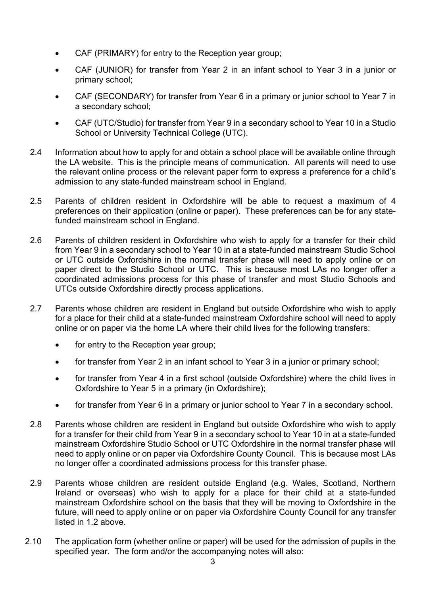- CAF (PRIMARY) for entry to the Reception year group;
- CAF (JUNIOR) for transfer from Year 2 in an infant school to Year 3 in a junior or primary school;
- CAF (SECONDARY) for transfer from Year 6 in a primary or junior school to Year 7 in a secondary school;
- CAF (UTC/Studio) for transfer from Year 9 in a secondary school to Year 10 in a Studio School or University Technical College (UTC).
- 2.4 Information about how to apply for and obtain a school place will be available online through the LA website. This is the principle means of communication. All parents will need to use the relevant online process or the relevant paper form to express a preference for a child's admission to any state-funded mainstream school in England.
- 2.5 Parents of children resident in Oxfordshire will be able to request a maximum of 4 preferences on their application (online or paper). These preferences can be for any statefunded mainstream school in England.
- 2.6 Parents of children resident in Oxfordshire who wish to apply for a transfer for their child from Year 9 in a secondary school to Year 10 in at a state-funded mainstream Studio School or UTC outside Oxfordshire in the normal transfer phase will need to apply online or on paper direct to the Studio School or UTC. This is because most LAs no longer offer a coordinated admissions process for this phase of transfer and most Studio Schools and UTCs outside Oxfordshire directly process applications.
- 2.7 Parents whose children are resident in England but outside Oxfordshire who wish to apply for a place for their child at a state-funded mainstream Oxfordshire school will need to apply online or on paper via the home LA where their child lives for the following transfers:
	- for entry to the Reception year group:
	- for transfer from Year 2 in an infant school to Year 3 in a junior or primary school;
	- for transfer from Year 4 in a first school (outside Oxfordshire) where the child lives in Oxfordshire to Year 5 in a primary (in Oxfordshire);
	- for transfer from Year 6 in a primary or junior school to Year 7 in a secondary school.
- need to apply online or on paper via Oxfordshire County Council. This is because most LAs 2.8 Parents whose children are resident in England but outside Oxfordshire who wish to apply for a transfer for their child from Year 9 in a secondary school to Year 10 in at a state-funded mainstream Oxfordshire Studio School or UTC Oxfordshire in the normal transfer phase will no longer offer a coordinated admissions process for this transfer phase.
- 2.9 Parents whose children are resident outside England (e.g. Wales, Scotland, Northern Ireland or overseas) who wish to apply for a place for their child at a state-funded mainstream Oxfordshire school on the basis that they will be moving to Oxfordshire in the future, will need to apply online or on paper via Oxfordshire County Council for any transfer listed in 1.2 above.
- 2.10 The application form (whether online or paper) will be used for the admission of pupils in the specified year. The form and/or the accompanying notes will also: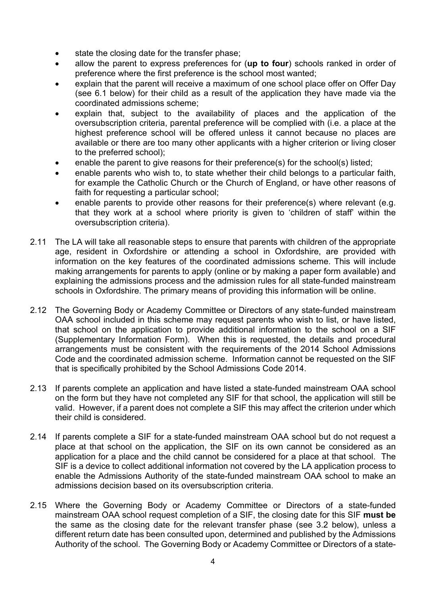- state the closing date for the transfer phase;
- allow the parent to express preferences for (**up to four**) schools ranked in order of preference where the first preference is the school most wanted;
- explain that the parent will receive a maximum of one school place offer on Offer Day (see 6.1 below) for their child as a result of the application they have made via the coordinated admissions scheme;
- explain that, subject to the availability of places and the application of the oversubscription criteria, parental preference will be complied with (i.e. a place at the highest preference school will be offered unless it cannot because no places are available or there are too many other applicants with a higher criterion or living closer to the preferred school);
- enable the parent to give reasons for their preference(s) for the school(s) listed;
- enable parents who wish to, to state whether their child belongs to a particular faith, for example the Catholic Church or the Church of England, or have other reasons of faith for requesting a particular school;
- enable parents to provide other reasons for their preference(s) where relevant (e.g. that they work at a school where priority is given to 'children of staff' within the oversubscription criteria).
- 2.11 The LA will take all reasonable steps to ensure that parents with children of the appropriate age, resident in Oxfordshire or attending a school in Oxfordshire, are provided with information on the key features of the coordinated admissions scheme. This will include making arrangements for parents to apply (online or by making a paper form available) and explaining the admissions process and the admission rules for all state-funded mainstream schools in Oxfordshire. The primary means of providing this information will be online.
- 2.12 The Governing Body or Academy Committee or Directors of any state-funded mainstream OAA school included in this scheme may request parents who wish to list, or have listed, that school on the application to provide additional information to the school on a SIF (Supplementary Information Form). When this is requested, the details and procedural arrangements must be consistent with the requirements of the 2014 School Admissions Code and the coordinated admission scheme. Information cannot be requested on the SIF that is specifically prohibited by the School Admissions Code 2014.
- 2.13 If parents complete an application and have listed a state-funded mainstream OAA school on the form but they have not completed any SIF for that school, the application will still be valid. However, if a parent does not complete a SIF this may affect the criterion under which their child is considered.
- 2.14 If parents complete a SIF for a state-funded mainstream OAA school but do not request a place at that school on the application, the SIF on its own cannot be considered as an application for a place and the child cannot be considered for a place at that school. The SIF is a device to collect additional information not covered by the LA application process to enable the Admissions Authority of the state-funded mainstream OAA school to make an admissions decision based on its oversubscription criteria.
- 2.15 Where the Governing Body or Academy Committee or Directors of a state-funded mainstream OAA school request completion of a SIF, the closing date for this SIF **must be** the same as the closing date for the relevant transfer phase (see 3.2 below), unless a different return date has been consulted upon, determined and published by the Admissions Authority of the school. The Governing Body or Academy Committee or Directors of a state-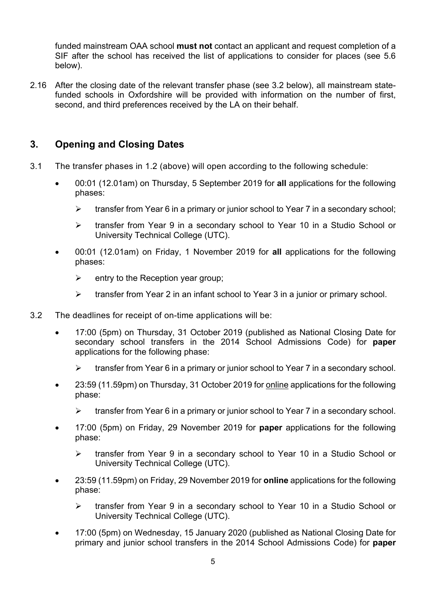funded mainstream OAA school **must not** contact an applicant and request completion of a SIF after the school has received the list of applications to consider for places (see 5.6 below).

2.16 After the closing date of the relevant transfer phase (see 3.2 below), all mainstream statefunded schools in Oxfordshire will be provided with information on the number of first, second, and third preferences received by the LA on their behalf.

### **3. Opening and Closing Dates**

- 3.1 The transfer phases in 1.2 (above) will open according to the following schedule:
	- 00:01 (12.01am) on Thursday, 5 September 2019 for **all** applications for the following phases:
		- $\triangleright$  transfer from Year 6 in a primary or junior school to Year 7 in a secondary school:
		- transfer from Year 9 in a secondary school to Year 10 in a Studio School or University Technical College (UTC).
	- 00:01 (12.01am) on Friday, 1 November 2019 for **all** applications for the following phases:
		- $\triangleright$  entry to the Reception year group:
		- $\triangleright$  transfer from Year 2 in an infant school to Year 3 in a junior or primary school.
- 3.2 The deadlines for receipt of on-time applications will be:
	- 17:00 (5pm) on Thursday, 31 October 2019 (published as National Closing Date for secondary school transfers in the 2014 School Admissions Code) for **paper** applications for the following phase:
		- $\triangleright$  transfer from Year 6 in a primary or junior school to Year 7 in a secondary school.
	- 23:59 (11.59pm) on Thursday, 31 October 2019 for online applications for the following phase:
		- $\triangleright$  transfer from Year 6 in a primary or junior school to Year 7 in a secondary school.
	- 17:00 (5pm) on Friday, 29 November 2019 for **paper** applications for the following phase:
		- transfer from Year 9 in a secondary school to Year 10 in a Studio School or University Technical College (UTC).
	- 23:59 (11.59pm) on Friday, 29 November 2019 for **online** applications for the following phase:
		- transfer from Year 9 in a secondary school to Year 10 in a Studio School or University Technical College (UTC).
	- 17:00 (5pm) on Wednesday, 15 January 2020 (published as National Closing Date for primary and junior school transfers in the 2014 School Admissions Code) for **paper**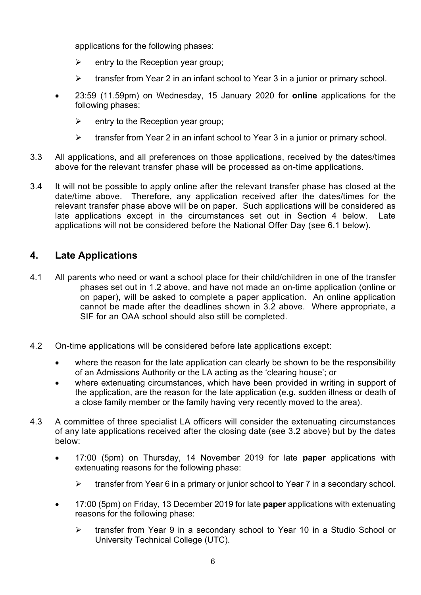applications for the following phases:

- $\triangleright$  entry to the Reception year group:
- $\triangleright$  transfer from Year 2 in an infant school to Year 3 in a junior or primary school.
- 23:59 (11.59pm) on Wednesday, 15 January 2020 for **online** applications for the following phases:
	- $\triangleright$  entry to the Reception year group;
	- $\triangleright$  transfer from Year 2 in an infant school to Year 3 in a junior or primary school.
- 3.3 All applications, and all preferences on those applications, received by the dates/times above for the relevant transfer phase will be processed as on-time applications.
- date/time above. Therefore, any application received after the dates/times for the 3.4 It will not be possible to apply online after the relevant transfer phase has closed at the relevant transfer phase above will be on paper. Such applications will be considered as late applications except in the circumstances set out in Section 4 below. Late applications will not be considered before the National Offer Day (see 6.1 below).

### **4. Late Applications**

- 4.1 All parents who need or want a school place for their child/children in one of the transfer phases set out in 1.2 above, and have not made an on-time application (online or on paper), will be asked to complete a paper application. An online application cannot be made after the deadlines shown in 3.2 above. Where appropriate, a SIF for an OAA school should also still be completed.
- 4.2 On-time applications will be considered before late applications except:
	- where the reason for the late application can clearly be shown to be the responsibility of an Admissions Authority or the LA acting as the 'clearing house'; or
	- where extenuating circumstances, which have been provided in writing in support of the application, are the reason for the late application (e.g. sudden illness or death of a close family member or the family having very recently moved to the area).
- of any late applications received after the closing date (see 3.2 above) but by the dates 4.3 A committee of three specialist LA officers will consider the extenuating circumstances below:
	- 17:00 (5pm) on Thursday, 14 November 2019 for late **paper** applications with extenuating reasons for the following phase:
		- $\triangleright$  transfer from Year 6 in a primary or junior school to Year 7 in a secondary school.
	- 17:00 (5pm) on Friday, 13 December 2019 for late **paper** applications with extenuating reasons for the following phase:
		- transfer from Year 9 in a secondary school to Year 10 in a Studio School or University Technical College (UTC).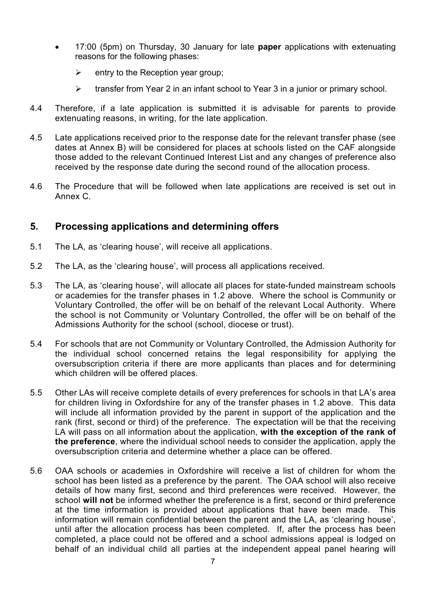- 17:00 (5pm) on Thursday, 30 January for late **paper** applications with extenuating reasons for the following phases:
	- $\triangleright$  entry to the Reception year group;
	- $\triangleright$  transfer from Year 2 in an infant school to Year 3 in a junior or primary school.
- 4.4 Therefore, if a late application is submitted it is advisable for parents to provide extenuating reasons, in writing, for the late application.
- 4.5 Late applications received prior to the response date for the relevant transfer phase (see dates at Annex B) will be considered for places at schools listed on the CAF alongside those added to the relevant Continued Interest List and any changes of preference also received by the response date during the second round of the allocation process.
- 4.6 The Procedure that will be followed when late applications are received is set out in Annex C.

### **5. Processing applications and determining offers**

- 5.1 The LA, as 'clearing house', will receive all applications.
- 5.2 The LA, as the 'clearing house', will process all applications received.
- or academies for the transfer phases in 1.2 above. Where the school is Community or Voluntary Controlled, the offer will be on behalf of the relevant Local Authority. Where 5.3 The LA, as 'clearing house', will allocate all places for state-funded mainstream schools the school is not Community or Voluntary Controlled, the offer will be on behalf of the Admissions Authority for the school (school, diocese or trust).
- oversubscription criteria if there are more applicants than places and for determining 5.4 For schools that are not Community or Voluntary Controlled, the Admission Authority for the individual school concerned retains the legal responsibility for applying the which children will be offered places.
- 5.5 Other LAs will receive complete details of every preferences for schools in that LA's area for children living in Oxfordshire for any of the transfer phases in 1.2 above. This data will include all information provided by the parent in support of the application and the rank (first, second or third) of the preference. The expectation will be that the receiving LA will pass on all information about the application, **with the exception of the rank of the preference**, where the individual school needs to consider the application, apply the oversubscription criteria and determine whether a place can be offered.
- 5.6 OAA schools or academies in Oxfordshire will receive a list of children for whom the school has been listed as a preference by the parent. The OAA school will also receive at the time information is provided about applications that have been made. This behalf of an individual child all parties at the independent appeal panel hearing will details of how many first, second and third preferences were received. However, the school **will not** be informed whether the preference is a first, second or third preference information will remain confidential between the parent and the LA, as 'clearing house', until after the allocation process has been completed. If, after the process has been completed, a place could not be offered and a school admissions appeal is lodged on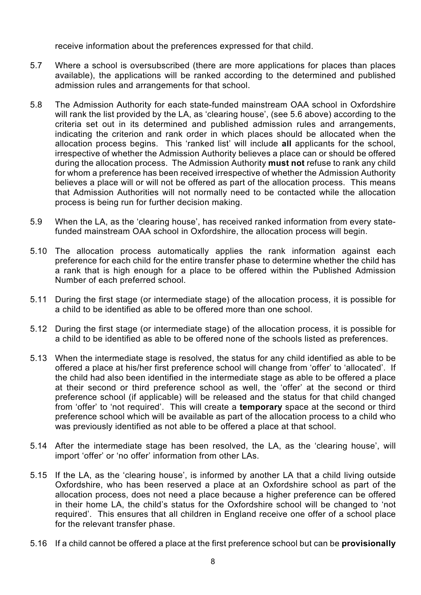receive information about the preferences expressed for that child.

- 5.7 Where a school is oversubscribed (there are more applications for places than places available), the applications will be ranked according to the determined and published admission rules and arrangements for that school.
- 5.8 The Admission Authority for each state-funded mainstream OAA school in Oxfordshire criteria set out in its determined and published admission rules and arrangements, allocation process begins. This 'ranked list' will include **all** applicants for the school, will rank the list provided by the LA, as 'clearing house', (see 5.6 above) according to the indicating the criterion and rank order in which places should be allocated when the irrespective of whether the Admission Authority believes a place can or should be offered during the allocation process. The Admission Authority **must not** refuse to rank any child for whom a preference has been received irrespective of whether the Admission Authority believes a place will or will not be offered as part of the allocation process. This means that Admission Authorities will not normally need to be contacted while the allocation process is being run for further decision making.
- 5.9 When the LA, as the 'clearing house', has received ranked information from every statefunded mainstream OAA school in Oxfordshire, the allocation process will begin.
- a rank that is high enough for a place to be offered within the Published Admission 5.10 The allocation process automatically applies the rank information against each preference for each child for the entire transfer phase to determine whether the child has Number of each preferred school.
- 5.11 During the first stage (or intermediate stage) of the allocation process, it is possible for a child to be identified as able to be offered more than one school.
- 5.12 During the first stage (or intermediate stage) of the allocation process, it is possible for a child to be identified as able to be offered none of the schools listed as preferences.
- from 'offer' to 'not required'. This will create a **temporary** space at the second or third preference school which will be available as part of the allocation process to a child who 5.13 When the intermediate stage is resolved, the status for any child identified as able to be offered a place at his/her first preference school will change from 'offer' to 'allocated'. If the child had also been identified in the intermediate stage as able to be offered a place at their second or third preference school as well, the 'offer' at the second or third preference school (if applicable) will be released and the status for that child changed was previously identified as not able to be offered a place at that school.
- 5.14 After the intermediate stage has been resolved, the LA, as the 'clearing house', will import 'offer' or 'no offer' information from other LAs.
- 5.15 If the LA, as the 'clearing house', is informed by another LA that a child living outside Oxfordshire, who has been reserved a place at an Oxfordshire school as part of the in their home LA, the child's status for the Oxfordshire school will be changed to 'not required'. This ensures that all children in England receive one offer of a school place allocation process, does not need a place because a higher preference can be offered for the relevant transfer phase.
- 5.16 If a child cannot be offered a place at the first preference school but can be **provisionally**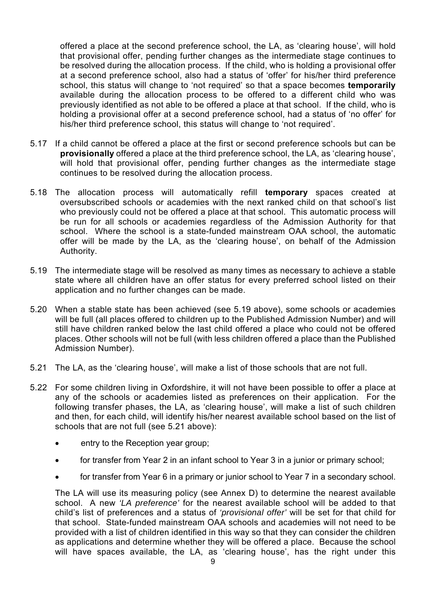available during the allocation process to be offered to a different child who was previously identified as not able to be offered a place at that school. If the child, who is offered a place at the second preference school, the LA, as 'clearing house', will hold that provisional offer, pending further changes as the intermediate stage continues to be resolved during the allocation process. If the child, who is holding a provisional offer at a second preference school, also had a status of 'offer' for his/her third preference school, this status will change to 'not required' so that a space becomes **temporarily**  holding a provisional offer at a second preference school, had a status of 'no offer' for his/her third preference school, this status will change to 'not required'.

- **provisionally** offered a place at the third preference school, the LA, as 'clearing house', will hold that provisional offer, pending further changes as the intermediate stage 5.17 If a child cannot be offered a place at the first or second preference schools but can be continues to be resolved during the allocation process.
- offer will be made by the LA, as the 'clearing house', on behalf of the Admission 5.18 The allocation process will automatically refill **temporary** spaces created at oversubscribed schools or academies with the next ranked child on that school's list who previously could not be offered a place at that school. This automatic process will be run for all schools or academies regardless of the Admission Authority for that school. Where the school is a state-funded mainstream OAA school, the automatic Authority.
- 5.19 The intermediate stage will be resolved as many times as necessary to achieve a stable state where all children have an offer status for every preferred school listed on their application and no further changes can be made.
- 5.20 When a stable state has been achieved (see 5.19 above), some schools or academies will be full (all places offered to children up to the Published Admission Number) and will still have children ranked below the last child offered a place who could not be offered places. Other schools will not be full (with less children offered a place than the Published Admission Number).
- 5.21 The LA, as the 'clearing house', will make a list of those schools that are not full.
- 5.22 For some children living in Oxfordshire, it will not have been possible to offer a place at any of the schools or academies listed as preferences on their application. For the following transfer phases, the LA, as 'clearing house', will make a list of such children and then, for each child, will identify his/her nearest available school based on the list of schools that are not full (see 5.21 above):
	- entry to the Reception year group;
	- for transfer from Year 2 in an infant school to Year 3 in a junior or primary school;
	- for transfer from Year 6 in a primary or junior school to Year 7 in a secondary school.

The LA will use its measuring policy (see Annex D) to determine the nearest available school. A new *'LA preference'* for the nearest available school will be added to that child's list of preferences and a status of *'provisional offer'* will be set for that child for that school. State-funded mainstream OAA schools and academies will not need to be provided with a list of children identified in this way so that they can consider the children as applications and determine whether they will be offered a place. Because the school will have spaces available, the LA, as 'clearing house', has the right under this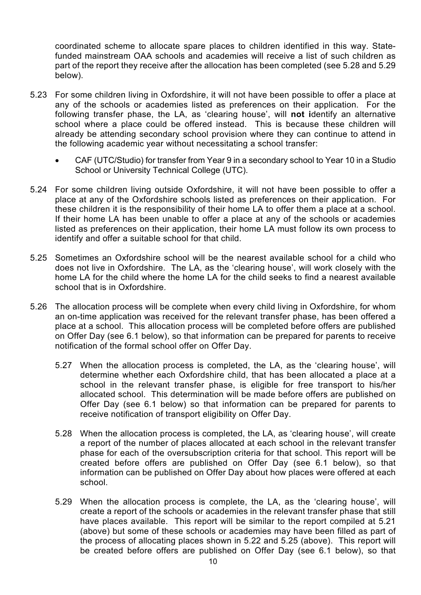funded mainstream OAA schools and academies will receive a list of such children as coordinated scheme to allocate spare places to children identified in this way. Statepart of the report they receive after the allocation has been completed (see 5.28 and 5.29 below).

- school where a place could be offered instead. This is because these children will 5.23 For some children living in Oxfordshire, it will not have been possible to offer a place at any of the schools or academies listed as preferences on their application. For the following transfer phase, the LA, as 'clearing house', will **not i**dentify an alternative already be attending secondary school provision where they can continue to attend in the following academic year without necessitating a school transfer:
	- CAF (UTC/Studio) for transfer from Year 9 in a secondary school to Year 10 in a Studio School or University Technical College (UTC).
- place at any of the Oxfordshire schools listed as preferences on their application. For these children it is the responsibility of their home LA to offer them a place at a school. If their home LA has been unable to offer a place at any of the schools or academies 5.24 For some children living outside Oxfordshire, it will not have been possible to offer a listed as preferences on their application, their home LA must follow its own process to identify and offer a suitable school for that child.
- 5.25 Sometimes an Oxfordshire school will be the nearest available school for a child who does not live in Oxfordshire. The LA, as the 'clearing house', will work closely with the home LA for the child where the home LA for the child seeks to find a nearest available school that is in Oxfordshire.
- 5.26 The allocation process will be complete when every child living in Oxfordshire, for whom an on-time application was received for the relevant transfer phase, has been offered a place at a school. This allocation process will be completed before offers are published on Offer Day (see 6.1 below), so that information can be prepared for parents to receive notification of the formal school offer on Offer Day.
	- determine whether each Oxfordshire child, that has been allocated a place at a 5.27 When the allocation process is completed, the LA, as the 'clearing house', will school in the relevant transfer phase, is eligible for free transport to his/her allocated school. This determination will be made before offers are published on Offer Day (see 6.1 below) so that information can be prepared for parents to receive notification of transport eligibility on Offer Day.
	- 5.28 When the allocation process is completed, the LA, as 'clearing house', will create information can be published on Offer Day about how places were offered at each a report of the number of places allocated at each school in the relevant transfer phase for each of the oversubscription criteria for that school. This report will be created before offers are published on Offer Day (see 6.1 below), so that school.
	- 5.29 When the allocation process is complete, the LA, as the 'clearing house', will (above) but some of these schools or academies may have been filled as part of the process of allocating places shown in 5.22 and 5.25 (above). This report will be created before offers are published on Offer Day (see 6.1 below), so that create a report of the schools or academies in the relevant transfer phase that still have places available. This report will be similar to the report compiled at 5.21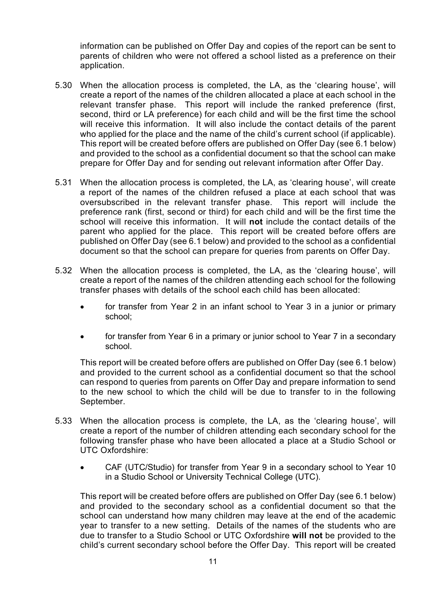parents of children who were not offered a school listed as a preference on their information can be published on Offer Day and copies of the report can be sent to application.

- second, third or LA preference) for each child and will be the first time the school who applied for the place and the name of the child's current school (if applicable). This report will be created before offers are published on Offer Day (see 6.1 below) 5.30 When the allocation process is completed, the LA, as the 'clearing house', will create a report of the names of the children allocated a place at each school in the relevant transfer phase. This report will include the ranked preference (first, will receive this information. It will also include the contact details of the parent and provided to the school as a confidential document so that the school can make prepare for Offer Day and for sending out relevant information after Offer Day.
- 5.31 When the allocation process is completed, the LA, as 'clearing house', will create preference rank (first, second or third) for each child and will be the first time the a report of the names of the children refused a place at each school that was oversubscribed in the relevant transfer phase. This report will include the school will receive this information. It will **not** include the contact details of the parent who applied for the place. This report will be created before offers are published on Offer Day (see 6.1 below) and provided to the school as a confidential document so that the school can prepare for queries from parents on Offer Day.
- 5.32 When the allocation process is completed, the LA, as the 'clearing house', will create a report of the names of the children attending each school for the following transfer phases with details of the school each child has been allocated:
	- for transfer from Year 2 in an infant school to Year 3 in a junior or primary school;
	- for transfer from Year 6 in a primary or junior school to Year 7 in a secondary school.

 This report will be created before offers are published on Offer Day (see 6.1 below) and provided to the current school as a confidential document so that the school can respond to queries from parents on Offer Day and prepare information to send to the new school to which the child will be due to transfer to in the following September.

- 5.33 When the allocation process is complete, the LA, as the 'clearing house', will create a report of the number of children attending each secondary school for the following transfer phase who have been allocated a place at a Studio School or UTC Oxfordshire:
	- CAF (UTC/Studio) for transfer from Year 9 in a secondary school to Year 10 in a Studio School or University Technical College (UTC).

 This report will be created before offers are published on Offer Day (see 6.1 below) year to transfer to a new setting. Details of the names of the students who are and provided to the secondary school as a confidential document so that the school can understand how many children may leave at the end of the academic due to transfer to a Studio School or UTC Oxfordshire **will not** be provided to the child's current secondary school before the Offer Day. This report will be created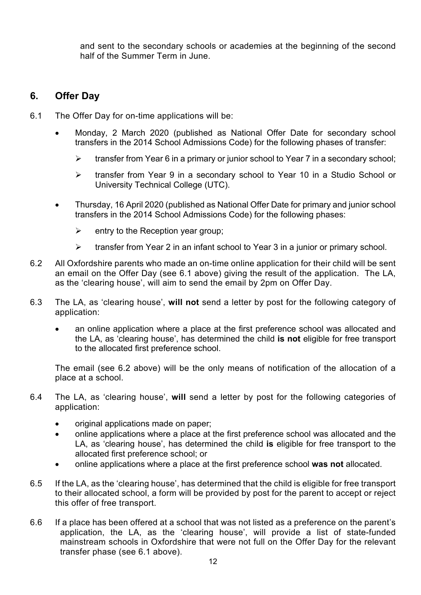and sent to the secondary schools or academies at the beginning of the second half of the Summer Term in June.

### **6. Offer Day**

- 6.1 The Offer Day for on-time applications will be:
	- Monday, 2 March 2020 (published as National Offer Date for secondary school transfers in the 2014 School Admissions Code) for the following phases of transfer:
		- $\triangleright$  transfer from Year 6 in a primary or junior school to Year 7 in a secondary school:
		- transfer from Year 9 in a secondary school to Year 10 in a Studio School or University Technical College (UTC).
	- Thursday, 16 April 2020 (published as National Offer Date for primary and junior school transfers in the 2014 School Admissions Code) for the following phases:
		- $\triangleright$  entry to the Reception year group;
		- $\triangleright$  transfer from Year 2 in an infant school to Year 3 in a junior or primary school.
- 6.2 All Oxfordshire parents who made an on-time online application for their child will be sent an email on the Offer Day (see 6.1 above) giving the result of the application. The LA, as the 'clearing house', will aim to send the email by 2pm on Offer Day.
- 6.3 The LA, as 'clearing house', **will not** send a letter by post for the following category of application:
	- an online application where a place at the first preference school was allocated and the LA, as 'clearing house', has determined the child **is not** eligible for free transport to the allocated first preference school.

The email (see 6.2 above) will be the only means of notification of the allocation of a place at a school.

- 6.4 The LA, as 'clearing house', **will** send a letter by post for the following categories of application:
	- original applications made on paper;
	- online applications where a place at the first preference school was allocated and the LA, as 'clearing house', has determined the child **is** eligible for free transport to the allocated first preference school; or
	- online applications where a place at the first preference school **was not** allocated.
- to their allocated school, a form will be provided by post for the parent to accept or reject 6.5 If the LA, as the 'clearing house', has determined that the child is eligible for free transport this offer of free transport.
- 6.6 If a place has been offered at a school that was not listed as a preference on the parent's application, the LA, as the 'clearing house', will provide a list of state-funded mainstream schools in Oxfordshire that were not full on the Offer Day for the relevant transfer phase (see 6.1 above).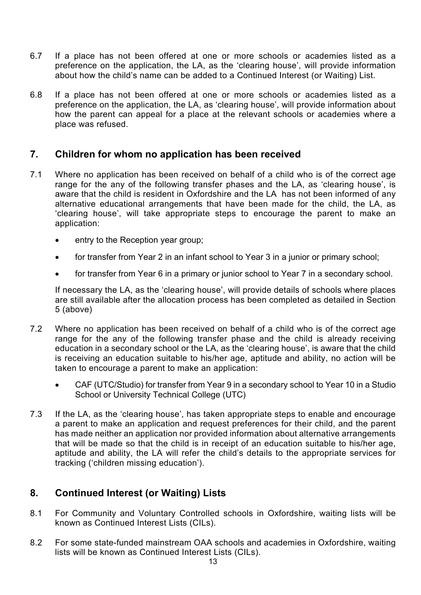- 6.7 If a place has not been offered at one or more schools or academies listed as a preference on the application, the LA, as the 'clearing house', will provide information about how the child's name can be added to a Continued Interest (or Waiting) List.
- how the parent can appeal for a place at the relevant schools or academies where a 6.8 If a place has not been offered at one or more schools or academies listed as a preference on the application, the LA, as 'clearing house', will provide information about place was refused.

#### **7. Children for whom no application has been received**

- Where no application has been received on behalf of a child who is of the correct age aware that the child is resident in Oxfordshire and the LA has not been informed of any 7.1 range for the any of the following transfer phases and the LA, as 'clearing house', is alternative educational arrangements that have been made for the child, the LA, as 'clearing house', will take appropriate steps to encourage the parent to make an application:
	- entry to the Reception year group;
	- for transfer from Year 2 in an infant school to Year 3 in a junior or primary school;
	- for transfer from Year 6 in a primary or junior school to Year 7 in a secondary school.

If necessary the LA, as the 'clearing house', will provide details of schools where places are still available after the allocation process has been completed as detailed in Section 5 (above)

- Where no application has been received on behalf of a child who is of the correct age 7.2 range for the any of the following transfer phase and the child is already receiving education in a secondary school or the LA, as the 'clearing house', is aware that the child is receiving an education suitable to his/her age, aptitude and ability, no action will be taken to encourage a parent to make an application:
	- CAF (UTC/Studio) for transfer from Year 9 in a secondary school to Year 10 in a Studio School or University Technical College (UTC)
- 7.3 If the LA, as the 'clearing house', has taken appropriate steps to enable and encourage a parent to make an application and request preferences for their child, and the parent has made neither an application nor provided information about alternative arrangements that will be made so that the child is in receipt of an education suitable to his/her age, aptitude and ability, the LA will refer the child's details to the appropriate services for tracking ('children missing education').

#### **8. Continued Interest (or Waiting) Lists**

- 8.1 For Community and Voluntary Controlled schools in Oxfordshire, waiting lists will be known as Continued Interest Lists (CILs).
- 8.2 For some state-funded mainstream OAA schools and academies in Oxfordshire, waiting lists will be known as Continued Interest Lists (CILs).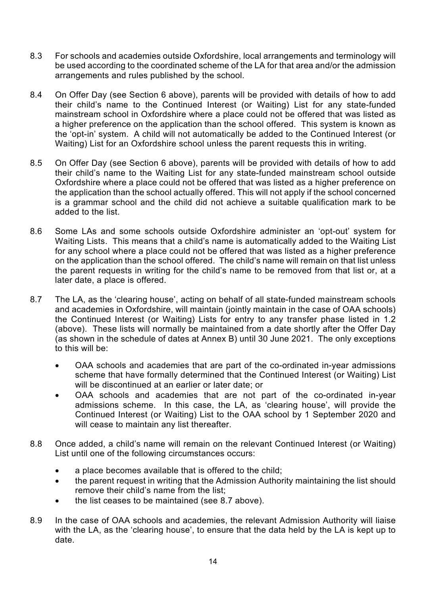- 8.3 For schools and academies outside Oxfordshire, local arrangements and terminology will be used according to the coordinated scheme of the LA for that area and/or the admission arrangements and rules published by the school.
- mainstream school in Oxfordshire where a place could not be offered that was listed as a higher preference on the application than the school offered. This system is known as the 'opt-in' system. A child will not automatically be added to the Continued Interest (or 8.4 On Offer Day (see Section 6 above), parents will be provided with details of how to add their child's name to the Continued Interest (or Waiting) List for any state-funded Waiting) List for an Oxfordshire school unless the parent requests this in writing.
- their child's name to the Waiting List for any state-funded mainstream school outside Oxfordshire where a place could not be offered that was listed as a higher preference on is a grammar school and the child did not achieve a suitable qualification mark to be 8.5 On Offer Day (see Section 6 above), parents will be provided with details of how to add the application than the school actually offered. This will not apply if the school concerned added to the list.
- Some LAs and some schools outside Oxfordshire administer an 'opt-out' system for 8.6 Waiting Lists. This means that a child's name is automatically added to the Waiting List for any school where a place could not be offered that was listed as a higher preference on the application than the school offered. The child's name will remain on that list unless the parent requests in writing for the child's name to be removed from that list or, at a later date, a place is offered.
- (above). These lists will normally be maintained from a date shortly after the Offer Day 8.7 The LA, as the 'clearing house', acting on behalf of all state-funded mainstream schools and academies in Oxfordshire, will maintain (jointly maintain in the case of OAA schools) the Continued Interest (or Waiting) Lists for entry to any transfer phase listed in 1.2 (as shown in the schedule of dates at Annex B) until 30 June 2021. The only exceptions to this will be:
	- OAA schools and academies that are part of the co-ordinated in-year admissions scheme that have formally determined that the Continued Interest (or Waiting) List will be discontinued at an earlier or later date; or
	- admissions scheme. In this case, the LA, as 'clearing house', will provide the OAA schools and academies that are not part of the co-ordinated in-year Continued Interest (or Waiting) List to the OAA school by 1 September 2020 and will cease to maintain any list thereafter.
- 8.8 Once added, a child's name will remain on the relevant Continued Interest (or Waiting) List until one of the following circumstances occurs:
	- a place becomes available that is offered to the child;
	- the parent request in writing that the Admission Authority maintaining the list should remove their child's name from the list;
	- the list ceases to be maintained (see 8.7 above).
- 8.9 In the case of OAA schools and academies, the relevant Admission Authority will liaise with the LA, as the 'clearing house', to ensure that the data held by the LA is kept up to date.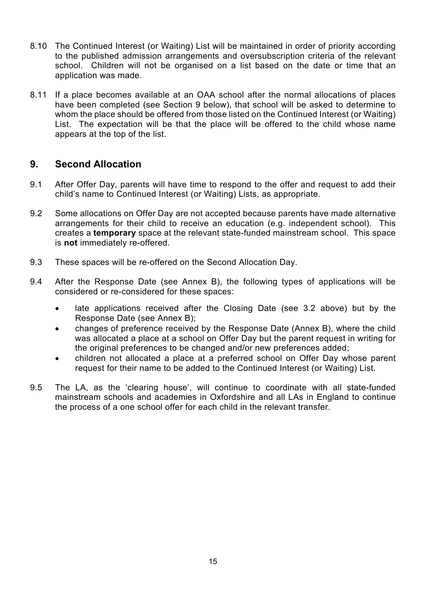- 8.10 The Continued Interest (or Waiting) List will be maintained in order of priority according to the published admission arrangements and oversubscription criteria of the relevant school. Children will not be organised on a list based on the date or time that an application was made.
- whom the place should be offered from those listed on the Continued Interest (or Waiting) List. The expectation will be that the place will be offered to the child whose name 8.11 If a place becomes available at an OAA school after the normal allocations of places have been completed (see Section 9 below), that school will be asked to determine to appears at the top of the list.

### **9. Second Allocation**

- 9.1 After Offer Day, parents will have time to respond to the offer and request to add their child's name to Continued Interest (or Waiting) Lists, as appropriate.
- arrangements for their child to receive an education (e.g. independent school). This creates a **temporary** space at the relevant state-funded mainstream school. This space 9.2 Some allocations on Offer Day are not accepted because parents have made alternative is **not** immediately re-offered.
- 9.3 These spaces will be re-offered on the Second Allocation Day.
- 9.4 After the Response Date (see Annex B), the following types of applications will be considered or re-considered for these spaces:
	- late applications received after the Closing Date (see 3.2 above) but by the Response Date (see Annex B);
	- changes of preference received by the Response Date (Annex B), where the child was allocated a place at a school on Offer Day but the parent request in writing for the original preferences to be changed and/or new preferences added;
	- children not allocated a place at a preferred school on Offer Day whose parent request for their name to be added to the Continued Interest (or Waiting) List.
- 9.5 The LA, as the 'clearing house', will continue to coordinate with all state-funded mainstream schools and academies in Oxfordshire and all LAs in England to continue the process of a one school offer for each child in the relevant transfer.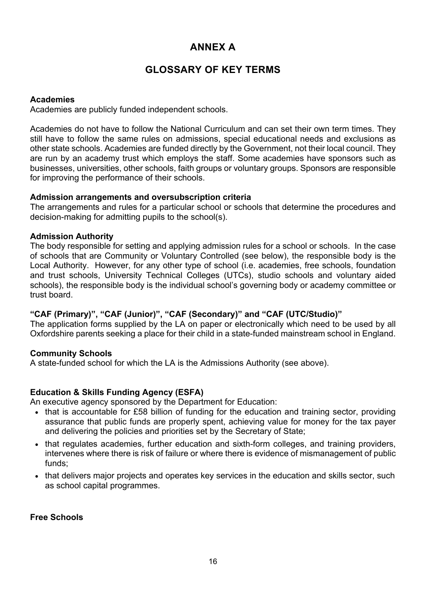### **ANNEX A**

### **GLOSSARY OF KEY TERMS**

### **Academies**

Academies are publicly funded independent schools.

Academies do not have to follow the National Curriculum and can set their own term times. They still have to follow the same rules on admissions, special educational needs and exclusions as other state schools. Academies are funded directly by the Government, not their local council. They are run by an academy trust which employs the staff. Some academies have sponsors such as businesses, universities, other schools, faith groups or voluntary groups. Sponsors are responsible for improving the performance of their schools.

### **Admission arrangements and oversubscription criteria**

The arrangements and rules for a particular school or schools that determine the procedures and decision-making for admitting pupils to the school(s).

### **Admission Authority**

The body responsible for setting and applying admission rules for a school or schools. In the case of schools that are Community or Voluntary Controlled (see below), the responsible body is the Local Authority. However, for any other type of school (i.e. academies, free schools, foundation and trust schools, University Technical Colleges (UTCs), studio schools and voluntary aided schools), the responsible body is the individual school's governing body or academy committee or trust board.

### **"CAF (Primary)", "CAF (Junior)", "CAF (Secondary)" and "CAF (UTC/Studio)"**

The application forms supplied by the LA on paper or electronically which need to be used by all Oxfordshire parents seeking a place for their child in a state-funded mainstream school in England.

### **Community Schools**

A state-funded school for which the LA is the Admissions Authority (see above).

### **Education & Skills Funding Agency (ESFA)**

An executive agency sponsored by the Department for Education:

- that is accountable for £58 billion of funding for the education and training sector, providing assurance that public funds are properly spent, achieving value for money for the tax payer and delivering the policies and priorities set by the Secretary of State;
- that regulates academies, further education and sixth-form colleges, and training providers, intervenes where there is risk of failure or where there is evidence of mismanagement of public funds;
- that delivers major projects and operates key services in the education and skills sector, such as school capital programmes.

### **Free Schools**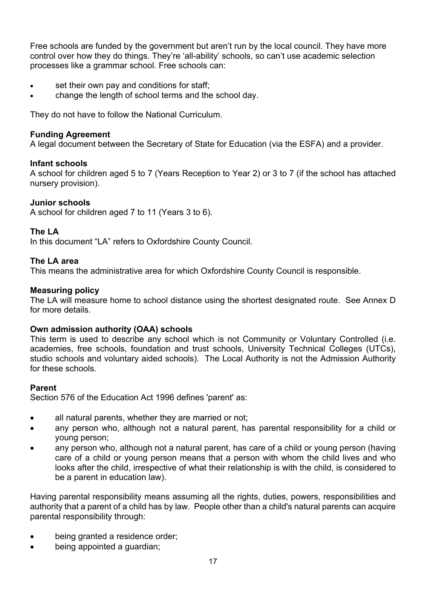Free schools are funded by the government but aren't run by the local council. They have more control over how they do things. They're 'all-ability' schools, so can't use academic selection processes like a grammar school. Free schools can:

- **set their own pay and conditions for staff;**
- change the length of school terms and the school day.

They do not have to follow the National Curriculum.

#### **Funding Agreement**

A legal document between the Secretary of State for Education (via the ESFA) and a provider.

#### **Infant schools**

A school for children aged 5 to 7 (Years Reception to Year 2) or 3 to 7 (if the school has attached nursery provision).

### **Junior schools**

A school for children aged 7 to 11 (Years 3 to 6).

#### **The LA**

In this document "LA" refers to Oxfordshire County Council.

#### **The LA area**

This means the administrative area for which Oxfordshire County Council is responsible.

#### **Measuring policy**

The LA will measure home to school distance using the shortest designated route. See Annex D for more details.

#### **Own admission authority (OAA) schools**

This term is used to describe any school which is not Community or Voluntary Controlled (i.e. academies, free schools, foundation and trust schools, University Technical Colleges (UTCs), studio schools and voluntary aided schools). The Local Authority is not the Admission Authority for these schools.

#### **Parent**

Section 576 of the Education Act 1996 defines 'parent' as:

- all natural parents, whether they are married or not;
- any person who, although not a natural parent, has parental responsibility for a child or young person;
- any person who, although not a natural parent, has care of a child or young person (having care of a child or young person means that a person with whom the child lives and who looks after the child, irrespective of what their relationship is with the child, is considered to be a parent in education law).

Having parental responsibility means assuming all the rights, duties, powers, responsibilities and authority that a parent of a child has by law. People other than a child's natural parents can acquire parental responsibility through:

- being granted a residence order;
- being appointed a guardian;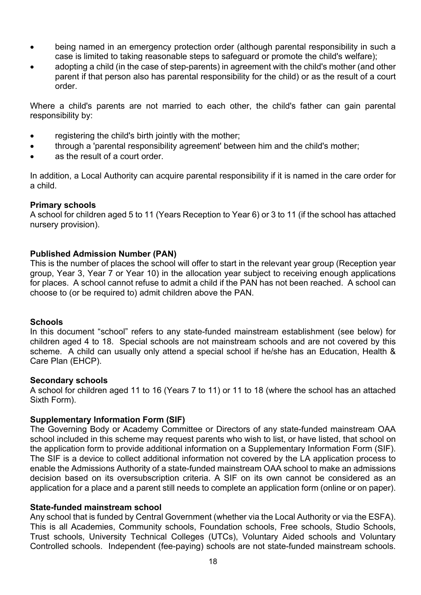- being named in an emergency protection order (although parental responsibility in such a case is limited to taking reasonable steps to safeguard or promote the child's welfare);
- adopting a child (in the case of step-parents) in agreement with the child's mother (and other parent if that person also has parental responsibility for the child) or as the result of a court order.

Where a child's parents are not married to each other, the child's father can gain parental responsibility by:

- registering the child's birth jointly with the mother;
- through a 'parental responsibility agreement' between him and the child's mother;
- as the result of a court order.

 In addition, a Local Authority can acquire parental responsibility if it is named in the care order for a child.

### **Primary schools**

A school for children aged 5 to 11 (Years Reception to Year 6) or 3 to 11 (if the school has attached nursery provision).

### **Published Admission Number (PAN)**

 for places. A school cannot refuse to admit a child if the PAN has not been reached. A school can This is the number of places the school will offer to start in the relevant year group (Reception year group, Year 3, Year 7 or Year 10) in the allocation year subject to receiving enough applications choose to (or be required to) admit children above the PAN.

### **Schools**

 scheme. A child can usually only attend a special school if he/she has an Education, Health & In this document "school" refers to any state-funded mainstream establishment (see below) for children aged 4 to 18. Special schools are not mainstream schools and are not covered by this Care Plan (EHCP).

#### **Secondary schools**

A school for children aged 11 to 16 (Years 7 to 11) or 11 to 18 (where the school has an attached Sixth Form).

### **Supplementary Information Form (SIF)**

 enable the Admissions Authority of a state-funded mainstream OAA school to make an admissions The Governing Body or Academy Committee or Directors of any state-funded mainstream OAA school included in this scheme may request parents who wish to list, or have listed, that school on the application form to provide additional information on a Supplementary Information Form (SIF). The SIF is a device to collect additional information not covered by the LA application process to decision based on its oversubscription criteria. A SIF on its own cannot be considered as an application for a place and a parent still needs to complete an application form (online or on paper).

### **State-funded mainstream school**

 Controlled schools. Independent (fee-paying) schools are not state-funded mainstream schools. Any school that is funded by Central Government (whether via the Local Authority or via the ESFA). This is all Academies, Community schools, Foundation schools, Free schools, Studio Schools, Trust schools, University Technical Colleges (UTCs), Voluntary Aided schools and Voluntary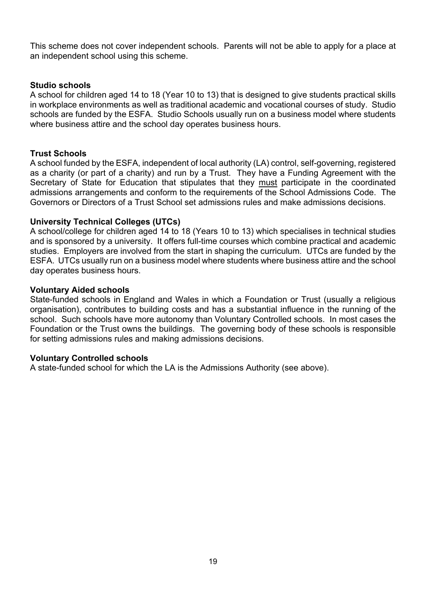This scheme does not cover independent schools. Parents will not be able to apply for a place at an independent school using this scheme.

### **Studio schools**

A school for children aged 14 to 18 (Year 10 to 13) that is designed to give students practical skills in workplace environments as well as traditional academic and vocational courses of study. Studio schools are funded by the ESFA. Studio Schools usually run on a business model where students where business attire and the school day operates business hours.

#### **Trust Schools**

 as a charity (or part of a charity) and run by a Trust. They have a Funding Agreement with the A school funded by the ESFA, independent of local authority (LA) control, self-governing, registered Secretary of State for Education that stipulates that they must participate in the coordinated admissions arrangements and conform to the requirements of the School Admissions Code. The Governors or Directors of a Trust School set admissions rules and make admissions decisions.

#### **University Technical Colleges (UTCs)**

 and is sponsored by a university. It offers full-time courses which combine practical and academic A school/college for children aged 14 to 18 (Years 10 to 13) which specialises in technical studies studies. Employers are involved from the start in shaping the curriculum. UTCs are funded by the ESFA. UTCs usually run on a business model where students where business attire and the school day operates business hours.

#### **Voluntary Aided schools**

 State-funded schools in England and Wales in which a Foundation or Trust (usually a religious school. Such schools have more autonomy than Voluntary Controlled schools. In most cases the organisation), contributes to building costs and has a substantial influence in the running of the Foundation or the Trust owns the buildings. The governing body of these schools is responsible for setting admissions rules and making admissions decisions.

#### **Voluntary Controlled schools**

A state-funded school for which the LA is the Admissions Authority (see above).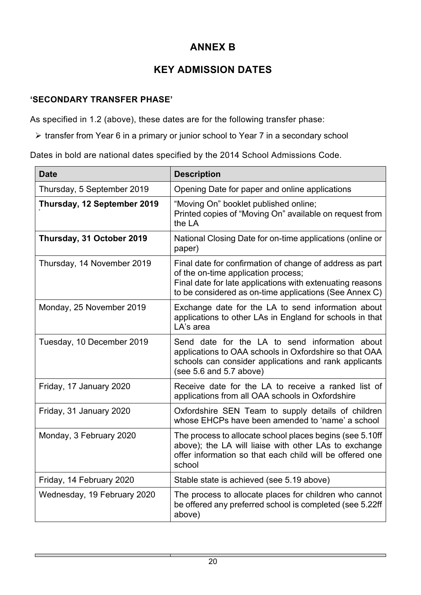## **ANNEX B**

## **KEY ADMISSION DATES**

### **'SECONDARY TRANSFER PHASE'**

As specified in 1.2 (above), these dates are for the following transfer phase:

transfer from Year 6 in a primary or junior school to Year 7 in a secondary school

Dates in bold are national dates specified by the 2014 School Admissions Code.

| <b>Date</b>                 | <b>Description</b>                                                                                                                                                                                                     |
|-----------------------------|------------------------------------------------------------------------------------------------------------------------------------------------------------------------------------------------------------------------|
| Thursday, 5 September 2019  | Opening Date for paper and online applications                                                                                                                                                                         |
| Thursday, 12 September 2019 | "Moving On" booklet published online;<br>Printed copies of "Moving On" available on request from<br>the LA                                                                                                             |
| Thursday, 31 October 2019   | National Closing Date for on-time applications (online or<br>paper)                                                                                                                                                    |
| Thursday, 14 November 2019  | Final date for confirmation of change of address as part<br>of the on-time application process;<br>Final date for late applications with extenuating reasons<br>to be considered as on-time applications (See Annex C) |
| Monday, 25 November 2019    | Exchange date for the LA to send information about<br>applications to other LAs in England for schools in that<br>LA's area                                                                                            |
| Tuesday, 10 December 2019   | Send date for the LA to send information about<br>applications to OAA schools in Oxfordshire so that OAA<br>schools can consider applications and rank applicants<br>(see $5.6$ and $5.7$ above)                       |
| Friday, 17 January 2020     | Receive date for the LA to receive a ranked list of<br>applications from all OAA schools in Oxfordshire                                                                                                                |
| Friday, 31 January 2020     | Oxfordshire SEN Team to supply details of children<br>whose EHCPs have been amended to 'name' a school                                                                                                                 |
| Monday, 3 February 2020     | The process to allocate school places begins (see 5.10ff<br>above); the LA will liaise with other LAs to exchange<br>offer information so that each child will be offered one<br>school                                |
| Friday, 14 February 2020    | Stable state is achieved (see 5.19 above)                                                                                                                                                                              |
| Wednesday, 19 February 2020 | The process to allocate places for children who cannot<br>be offered any preferred school is completed (see 5.22ff<br>above)                                                                                           |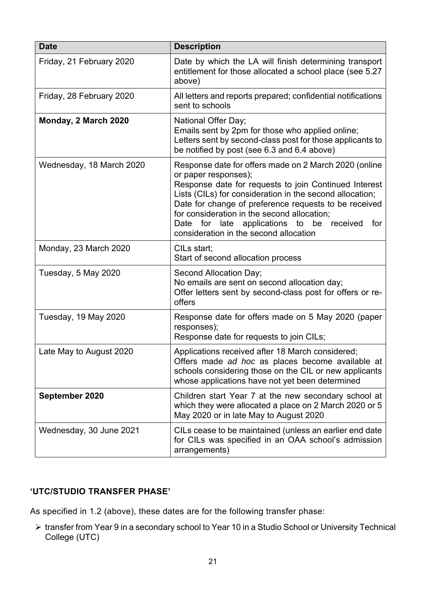| <b>Date</b>              | <b>Description</b>                                                                                                                                                                                                                                                                                                                                                                                    |
|--------------------------|-------------------------------------------------------------------------------------------------------------------------------------------------------------------------------------------------------------------------------------------------------------------------------------------------------------------------------------------------------------------------------------------------------|
| Friday, 21 February 2020 | Date by which the LA will finish determining transport<br>entitlement for those allocated a school place (see 5.27<br>above)                                                                                                                                                                                                                                                                          |
| Friday, 28 February 2020 | All letters and reports prepared; confidential notifications<br>sent to schools                                                                                                                                                                                                                                                                                                                       |
| Monday, 2 March 2020     | National Offer Day;<br>Emails sent by 2pm for those who applied online;<br>Letters sent by second-class post for those applicants to<br>be notified by post (see 6.3 and 6.4 above)                                                                                                                                                                                                                   |
| Wednesday, 18 March 2020 | Response date for offers made on 2 March 2020 (online<br>or paper responses);<br>Response date for requests to join Continued Interest<br>Lists (CILs) for consideration in the second allocation;<br>Date for change of preference requests to be received<br>for consideration in the second allocation;<br>Date for late applications to be received for<br>consideration in the second allocation |
| Monday, 23 March 2020    | CILs start;<br>Start of second allocation process                                                                                                                                                                                                                                                                                                                                                     |
| Tuesday, 5 May 2020      | Second Allocation Day;<br>No emails are sent on second allocation day;<br>Offer letters sent by second-class post for offers or re-<br>offers                                                                                                                                                                                                                                                         |
| Tuesday, 19 May 2020     | Response date for offers made on 5 May 2020 (paper<br>responses);<br>Response date for requests to join CILs;                                                                                                                                                                                                                                                                                         |
| Late May to August 2020  | Applications received after 18 March considered;<br>Offers made ad hoc as places become available at<br>schools considering those on the CIL or new applicants<br>whose applications have not yet been determined                                                                                                                                                                                     |
| September 2020           | Children start Year 7 at the new secondary school at<br>which they were allocated a place on 2 March 2020 or 5<br>May 2020 or in late May to August 2020                                                                                                                                                                                                                                              |
| Wednesday, 30 June 2021  | CILs cease to be maintained (unless an earlier end date<br>for CILs was specified in an OAA school's admission<br>arrangements)                                                                                                                                                                                                                                                                       |

### **'UTC/STUDIO TRANSFER PHASE'**

As specified in 1.2 (above), these dates are for the following transfer phase:

 transfer from Year 9 in a secondary school to Year 10 in a Studio School or University Technical College (UTC)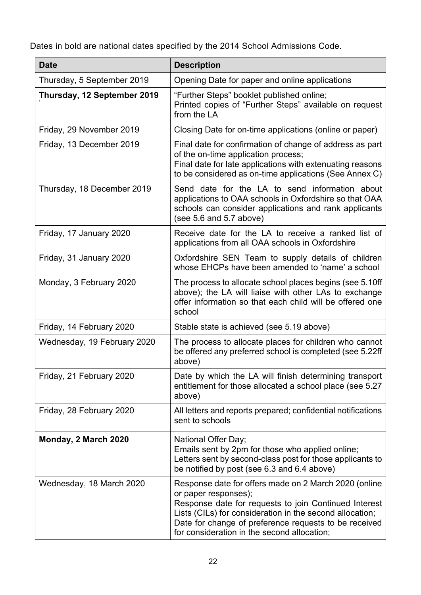Dates in bold are national dates specified by the 2014 School Admissions Code.

| <b>Date</b>                 | <b>Description</b>                                                                                                                                                                                                                                                                                         |
|-----------------------------|------------------------------------------------------------------------------------------------------------------------------------------------------------------------------------------------------------------------------------------------------------------------------------------------------------|
| Thursday, 5 September 2019  | Opening Date for paper and online applications                                                                                                                                                                                                                                                             |
| Thursday, 12 September 2019 | "Further Steps" booklet published online;<br>Printed copies of "Further Steps" available on request<br>from the LA                                                                                                                                                                                         |
| Friday, 29 November 2019    | Closing Date for on-time applications (online or paper)                                                                                                                                                                                                                                                    |
| Friday, 13 December 2019    | Final date for confirmation of change of address as part<br>of the on-time application process;<br>Final date for late applications with extenuating reasons<br>to be considered as on-time applications (See Annex C)                                                                                     |
| Thursday, 18 December 2019  | Send date for the LA to send information about<br>applications to OAA schools in Oxfordshire so that OAA<br>schools can consider applications and rank applicants<br>(see 5.6 and 5.7 above)                                                                                                               |
| Friday, 17 January 2020     | Receive date for the LA to receive a ranked list of<br>applications from all OAA schools in Oxfordshire                                                                                                                                                                                                    |
| Friday, 31 January 2020     | Oxfordshire SEN Team to supply details of children<br>whose EHCPs have been amended to 'name' a school                                                                                                                                                                                                     |
| Monday, 3 February 2020     | The process to allocate school places begins (see 5.10ff<br>above); the LA will liaise with other LAs to exchange<br>offer information so that each child will be offered one<br>school                                                                                                                    |
| Friday, 14 February 2020    | Stable state is achieved (see 5.19 above)                                                                                                                                                                                                                                                                  |
| Wednesday, 19 February 2020 | The process to allocate places for children who cannot<br>be offered any preferred school is completed (see 5.22ff<br>above)                                                                                                                                                                               |
| Friday, 21 February 2020    | Date by which the LA will finish determining transport<br>entitlement for those allocated a school place (see 5.27<br>above)                                                                                                                                                                               |
| Friday, 28 February 2020    | All letters and reports prepared; confidential notifications<br>sent to schools                                                                                                                                                                                                                            |
| Monday, 2 March 2020        | National Offer Day;<br>Emails sent by 2pm for those who applied online;<br>Letters sent by second-class post for those applicants to<br>be notified by post (see 6.3 and 6.4 above)                                                                                                                        |
| Wednesday, 18 March 2020    | Response date for offers made on 2 March 2020 (online<br>or paper responses);<br>Response date for requests to join Continued Interest<br>Lists (CILs) for consideration in the second allocation;<br>Date for change of preference requests to be received<br>for consideration in the second allocation; |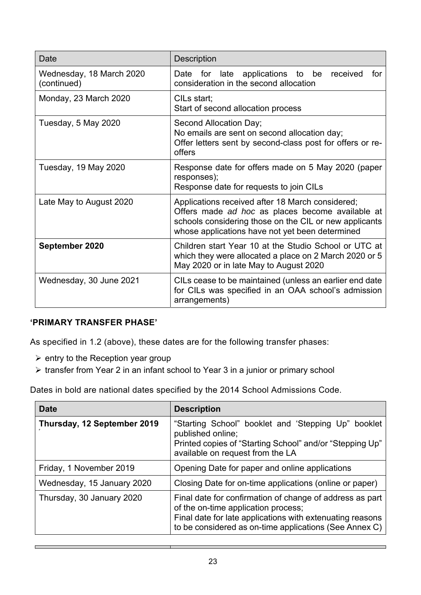| Date                                    | <b>Description</b>                                                                                                                                                                                                |
|-----------------------------------------|-------------------------------------------------------------------------------------------------------------------------------------------------------------------------------------------------------------------|
| Wednesday, 18 March 2020<br>(continued) | Date for late applications to be received<br>for<br>consideration in the second allocation                                                                                                                        |
| Monday, 23 March 2020                   | CILs start;<br>Start of second allocation process                                                                                                                                                                 |
| Tuesday, 5 May 2020                     | Second Allocation Day;<br>No emails are sent on second allocation day;<br>Offer letters sent by second-class post for offers or re-<br>offers                                                                     |
| Tuesday, 19 May 2020                    | Response date for offers made on 5 May 2020 (paper<br>responses);<br>Response date for requests to join CILs                                                                                                      |
| Late May to August 2020                 | Applications received after 18 March considered;<br>Offers made ad hoc as places become available at<br>schools considering those on the CIL or new applicants<br>whose applications have not yet been determined |
| September 2020                          | Children start Year 10 at the Studio School or UTC at<br>which they were allocated a place on 2 March 2020 or 5<br>May 2020 or in late May to August 2020                                                         |
| Wednesday, 30 June 2021                 | CILs cease to be maintained (unless an earlier end date<br>for CILs was specified in an OAA school's admission<br>arrangements)                                                                                   |

### **'PRIMARY TRANSFER PHASE'**

As specified in 1.2 (above), these dates are for the following transfer phases:

- $\triangleright$  entry to the Reception year group
- ▶ transfer from Year 2 in an infant school to Year 3 in a junior or primary school

Dates in bold are national dates specified by the 2014 School Admissions Code.

| <b>Date</b>                 | <b>Description</b>                                                                                                                                                                                                     |
|-----------------------------|------------------------------------------------------------------------------------------------------------------------------------------------------------------------------------------------------------------------|
| Thursday, 12 September 2019 | "Starting School" booklet and 'Stepping Up" booklet<br>published online;<br>Printed copies of "Starting School" and/or "Stepping Up"<br>available on request from the LA                                               |
| Friday, 1 November 2019     | Opening Date for paper and online applications                                                                                                                                                                         |
| Wednesday, 15 January 2020  | Closing Date for on-time applications (online or paper)                                                                                                                                                                |
| Thursday, 30 January 2020   | Final date for confirmation of change of address as part<br>of the on-time application process;<br>Final date for late applications with extenuating reasons<br>to be considered as on-time applications (See Annex C) |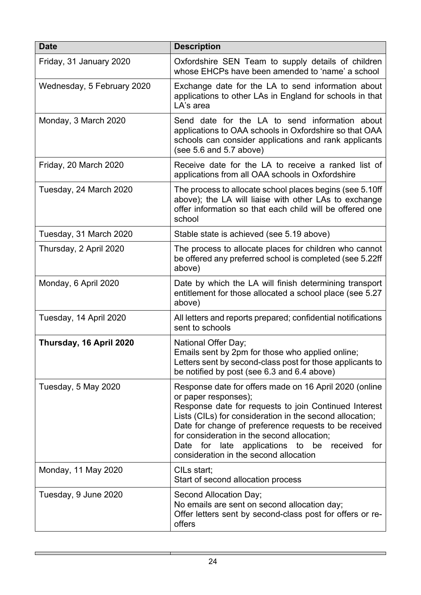| <b>Date</b>                | <b>Description</b>                                                                                                                                                                                                                                                                                                                                                                                           |
|----------------------------|--------------------------------------------------------------------------------------------------------------------------------------------------------------------------------------------------------------------------------------------------------------------------------------------------------------------------------------------------------------------------------------------------------------|
| Friday, 31 January 2020    | Oxfordshire SEN Team to supply details of children<br>whose EHCPs have been amended to 'name' a school                                                                                                                                                                                                                                                                                                       |
| Wednesday, 5 February 2020 | Exchange date for the LA to send information about<br>applications to other LAs in England for schools in that<br>LA's area                                                                                                                                                                                                                                                                                  |
| Monday, 3 March 2020       | Send date for the LA to send information about<br>applications to OAA schools in Oxfordshire so that OAA<br>schools can consider applications and rank applicants<br>(see $5.6$ and $5.7$ above)                                                                                                                                                                                                             |
| Friday, 20 March 2020      | Receive date for the LA to receive a ranked list of<br>applications from all OAA schools in Oxfordshire                                                                                                                                                                                                                                                                                                      |
| Tuesday, 24 March 2020     | The process to allocate school places begins (see 5.10ff<br>above); the LA will liaise with other LAs to exchange<br>offer information so that each child will be offered one<br>school                                                                                                                                                                                                                      |
| Tuesday, 31 March 2020     | Stable state is achieved (see 5.19 above)                                                                                                                                                                                                                                                                                                                                                                    |
| Thursday, 2 April 2020     | The process to allocate places for children who cannot<br>be offered any preferred school is completed (see 5.22ff<br>above)                                                                                                                                                                                                                                                                                 |
| Monday, 6 April 2020       | Date by which the LA will finish determining transport<br>entitlement for those allocated a school place (see 5.27<br>above)                                                                                                                                                                                                                                                                                 |
| Tuesday, 14 April 2020     | All letters and reports prepared; confidential notifications<br>sent to schools                                                                                                                                                                                                                                                                                                                              |
| Thursday, 16 April 2020    | National Offer Day;<br>Emails sent by 2pm for those who applied online;<br>Letters sent by second-class post for those applicants to<br>be notified by post (see 6.3 and 6.4 above)                                                                                                                                                                                                                          |
| Tuesday, 5 May 2020        | Response date for offers made on 16 April 2020 (online<br>or paper responses);<br>Response date for requests to join Continued Interest<br>Lists (CILs) for consideration in the second allocation;<br>Date for change of preference requests to be received<br>for consideration in the second allocation;<br>Date for late applications to be<br>received<br>for<br>consideration in the second allocation |
| Monday, 11 May 2020        | CILs start;<br>Start of second allocation process                                                                                                                                                                                                                                                                                                                                                            |
| Tuesday, 9 June 2020       | Second Allocation Day;<br>No emails are sent on second allocation day;<br>Offer letters sent by second-class post for offers or re-<br>offers                                                                                                                                                                                                                                                                |

J.

Г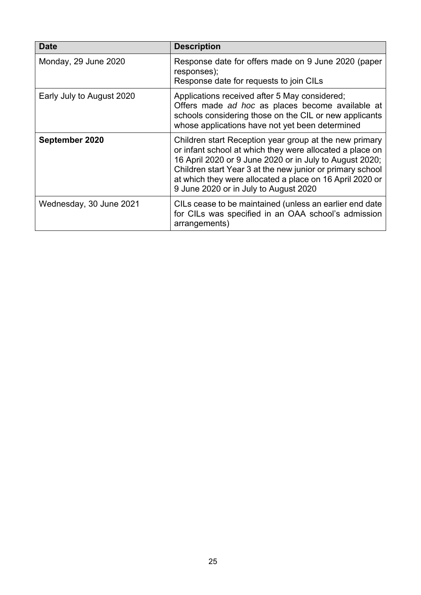| <b>Date</b>               | <b>Description</b>                                                                                                                                                                                                                                                                                                                              |
|---------------------------|-------------------------------------------------------------------------------------------------------------------------------------------------------------------------------------------------------------------------------------------------------------------------------------------------------------------------------------------------|
| Monday, 29 June 2020      | Response date for offers made on 9 June 2020 (paper<br>responses);<br>Response date for requests to join CILs                                                                                                                                                                                                                                   |
| Early July to August 2020 | Applications received after 5 May considered;<br>Offers made ad hoc as places become available at<br>schools considering those on the CIL or new applicants<br>whose applications have not yet been determined                                                                                                                                  |
| September 2020            | Children start Reception year group at the new primary<br>or infant school at which they were allocated a place on<br>16 April 2020 or 9 June 2020 or in July to August 2020;<br>Children start Year 3 at the new junior or primary school<br>at which they were allocated a place on 16 April 2020 or<br>9 June 2020 or in July to August 2020 |
| Wednesday, 30 June 2021   | CILs cease to be maintained (unless an earlier end date<br>for CILs was specified in an OAA school's admission<br>arrangements)                                                                                                                                                                                                                 |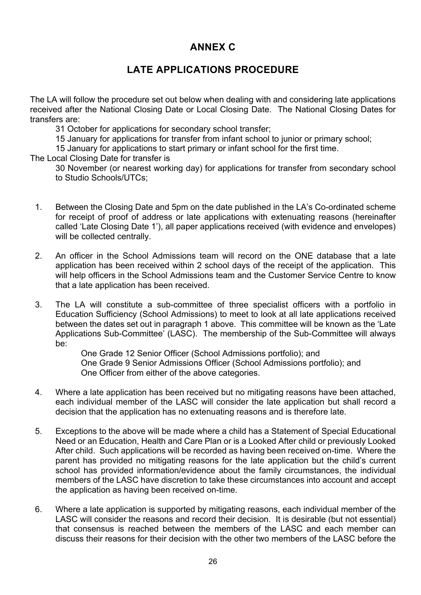### **ANNEX C**

### **LATE APPLICATIONS PROCEDURE**

 received after the National Closing Date or Local Closing Date. The National Closing Dates for The LA will follow the procedure set out below when dealing with and considering late applications transfers are:

31 October for applications for secondary school transfer;

15 January for applications for transfer from infant school to junior or primary school;

15 January for applications to start primary or infant school for the first time.

The Local Closing Date for transfer is

30 November (or nearest working day) for applications for transfer from secondary school to Studio Schools/UTCs;

- 1. Between the Closing Date and 5pm on the date published in the LA's Co-ordinated scheme for receipt of proof of address or late applications with extenuating reasons (hereinafter called 'Late Closing Date 1'), all paper applications received (with evidence and envelopes) will be collected centrally.
- 2. An officer in the School Admissions team will record on the ONE database that a late application has been received within 2 school days of the receipt of the application. This will help officers in the School Admissions team and the Customer Service Centre to know that a late application has been received.
- 3. The LA will constitute a sub-committee of three specialist officers with a portfolio in Education Sufficiency (School Admissions) to meet to look at all late applications received between the dates set out in paragraph 1 above. This committee will be known as the 'Late Applications Sub-Committee' (LASC). The membership of the Sub-Committee will always be:

One Grade 12 Senior Officer (School Admissions portfolio); and One Grade 9 Senior Admissions Officer (School Admissions portfolio); and One Officer from either of the above categories.

- each individual member of the LASC will consider the late application but shall record a 4. Where a late application has been received but no mitigating reasons have been attached, decision that the application has no extenuating reasons and is therefore late.
- 5. Exceptions to the above will be made where a child has a Statement of Special Educational Need or an Education, Health and Care Plan or is a Looked After child or previously Looked After child. Such applications will be recorded as having been received on-time. Where the parent has provided no mitigating reasons for the late application but the child's current school has provided information/evidence about the family circumstances, the individual members of the LASC have discretion to take these circumstances into account and accept the application as having been received on-time.
- 6. Where a late application is supported by mitigating reasons, each individual member of the LASC will consider the reasons and record their decision. It is desirable (but not essential) that consensus is reached between the members of the LASC and each member can discuss their reasons for their decision with the other two members of the LASC before the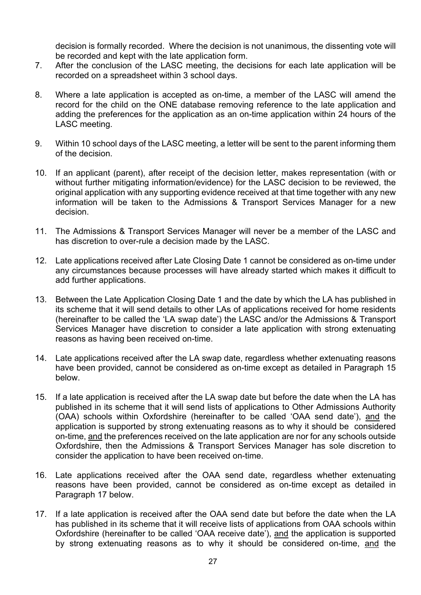decision is formally recorded. Where the decision is not unanimous, the dissenting vote will be recorded and kept with the late application form.

- 7. After the conclusion of the LASC meeting, the decisions for each late application will be recorded on a spreadsheet within 3 school days.
- 8. Where a late application is accepted as on-time, a member of the LASC will amend the record for the child on the ONE database removing reference to the late application and adding the preferences for the application as an on-time application within 24 hours of the LASC meeting.
- 9. Within 10 school days of the LASC meeting, a letter will be sent to the parent informing them of the decision.
- 10. If an applicant (parent), after receipt of the decision letter, makes representation (with or without further mitigating information/evidence) for the LASC decision to be reviewed, the original application with any supporting evidence received at that time together with any new information will be taken to the Admissions & Transport Services Manager for a new decision.
- 11. The Admissions & Transport Services Manager will never be a member of the LASC and has discretion to over-rule a decision made by the LASC.
- 12. Late applications received after Late Closing Date 1 cannot be considered as on-time under any circumstances because processes will have already started which makes it difficult to add further applications.
- Services Manager have discretion to consider a late application with strong extenuating 13. Between the Late Application Closing Date 1 and the date by which the LA has published in its scheme that it will send details to other LAs of applications received for home residents (hereinafter to be called the 'LA swap date') the LASC and/or the Admissions & Transport reasons as having been received on-time.
- 14. Late applications received after the LA swap date, regardless whether extenuating reasons have been provided, cannot be considered as on-time except as detailed in Paragraph 15 below.
- 15. If a late application is received after the LA swap date but before the date when the LA has published in its scheme that it will send lists of applications to Other Admissions Authority (OAA) schools within Oxfordshire (hereinafter to be called 'OAA send date'), and the application is supported by strong extenuating reasons as to why it should be considered on-time, and the preferences received on the late application are nor for any schools outside Oxfordshire, then the Admissions & Transport Services Manager has sole discretion to consider the application to have been received on-time.
- 16. Late applications received after the OAA send date, regardless whether extenuating reasons have been provided, cannot be considered as on-time except as detailed in Paragraph 17 below.
- 17. If a late application is received after the OAA send date but before the date when the LA has published in its scheme that it will receive lists of applications from OAA schools within Oxfordshire (hereinafter to be called 'OAA receive date'), and the application is supported by strong extenuating reasons as to why it should be considered on-time, and the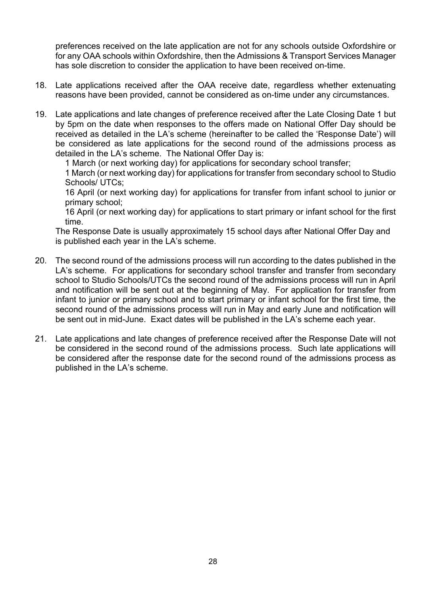preferences received on the late application are not for any schools outside Oxfordshire or for any OAA schools within Oxfordshire, then the Admissions & Transport Services Manager has sole discretion to consider the application to have been received on-time.

- 18. Late applications received after the OAA receive date, regardless whether extenuating reasons have been provided, cannot be considered as on-time under any circumstances.
- 19. Late applications and late changes of preference received after the Late Closing Date 1 but by 5pm on the date when responses to the offers made on National Offer Day should be received as detailed in the LA's scheme (hereinafter to be called the 'Response Date') will be considered as late applications for the second round of the admissions process as detailed in the LA's scheme. The National Offer Day is:

1 March (or next working day) for applications for secondary school transfer;

1 March (or next working day) for applications for transfer from secondary school to Studio Schools/ UTCs:

16 April (or next working day) for applications for transfer from infant school to junior or primary school;

16 April (or next working day) for applications to start primary or infant school for the first time.

The Response Date is usually approximately 15 school days after National Offer Day and is published each year in the LA's scheme.

- 20. The second round of the admissions process will run according to the dates published in the LA's scheme. For applications for secondary school transfer and transfer from secondary school to Studio Schools/UTCs the second round of the admissions process will run in April and notification will be sent out at the beginning of May. For application for transfer from infant to junior or primary school and to start primary or infant school for the first time, the second round of the admissions process will run in May and early June and notification will be sent out in mid-June. Exact dates will be published in the LA's scheme each year.
- 21. Late applications and late changes of preference received after the Response Date will not be considered in the second round of the admissions process. Such late applications will be considered after the response date for the second round of the admissions process as published in the LA's scheme.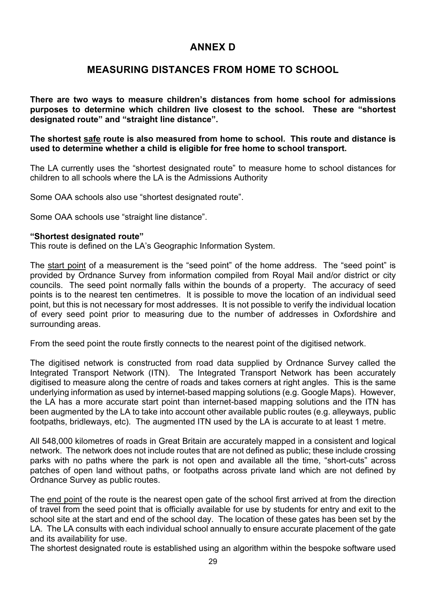### **ANNEX D**

### **MEASURING DISTANCES FROM HOME TO SCHOOL**

**There are two ways to measure children's distances from home school for admissions purposes to determine which children live closest to the school. These are "shortest designated route" and "straight line distance".** 

**The shortest safe route is also measured from home to school. This route and distance is used to determine whether a child is eligible for free home to school transport.** 

The LA currently uses the "shortest designated route" to measure home to school distances for children to all schools where the LA is the Admissions Authority

Some OAA schools also use "shortest designated route".

Some OAA schools use "straight line distance".

#### **"Shortest designated route"**

This route is defined on the LA's Geographic Information System.

 councils. The seed point normally falls within the bounds of a property. The accuracy of seed point, but this is not necessary for most addresses. It is not possible to verify the individual location The start point of a measurement is the "seed point" of the home address. The "seed point" is provided by Ordnance Survey from information compiled from Royal Mail and/or district or city points is to the nearest ten centimetres. It is possible to move the location of an individual seed of every seed point prior to measuring due to the number of addresses in Oxfordshire and surrounding areas.

From the seed point the route firstly connects to the nearest point of the digitised network.

 the LA has a more accurate start point than internet-based mapping solutions and the ITN has The digitised network is constructed from road data supplied by Ordnance Survey called the Integrated Transport Network (ITN). The Integrated Transport Network has been accurately digitised to measure along the centre of roads and takes corners at right angles. This is the same underlying information as used by internet-based mapping solutions (e.g. Google Maps). However, been augmented by the LA to take into account other available public routes (e.g. alleyways, public footpaths, bridleways, etc). The augmented ITN used by the LA is accurate to at least 1 metre.

All 548,000 kilometres of roads in Great Britain are accurately mapped in a consistent and logical network. The network does not include routes that are not defined as public; these include crossing parks with no paths where the park is not open and available all the time, "short-cuts" across patches of open land without paths, or footpaths across private land which are not defined by Ordnance Survey as public routes.

The end point of the route is the nearest open gate of the school first arrived at from the direction of travel from the seed point that is officially available for use by students for entry and exit to the school site at the start and end of the school day. The location of these gates has been set by the LA. The LA consults with each individual school annually to ensure accurate placement of the gate and its availability for use.

The shortest designated route is established using an algorithm within the bespoke software used